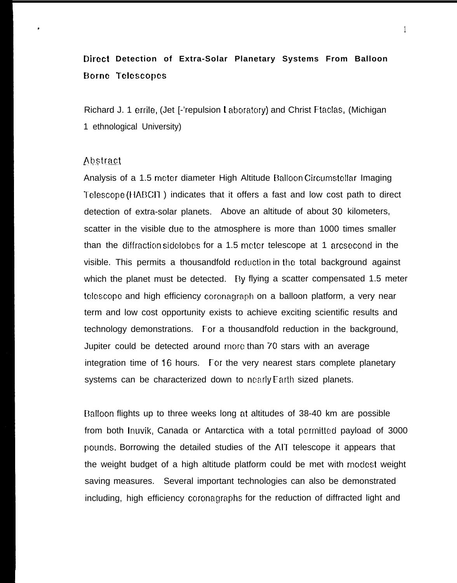# **Direct Detection of Extra-Solar Planetary Systems From Balloon E30rnc Telcscopcs**

Richard J. 1 errile, (Jet [-'repulsion Laboratory) and Christ Ftaclas, (Michigan 1 ethnological University)

### Abstract

Analysis of a 1.5 meter diameter High Altitude Balloon Circumstellar Imaging Telescope (HABCII) indicates that it offers a fast and low cost path to direct detection of extra-solar planets. Above an altitude of about 30 kilometers, scatter in the visible due to the atmosphere is more than 1000 times smaller than the diffraction sidelobes for a 1.5 meter telescope at 1 arcsecond in the visible. This permits a thousandfold reduction in the total background against which the planet must be detected. By flying a scatter compensated 1.5 meter telescope and high efficiency coronagraph on a balloon platform, a very near term and low cost opportunity exists to achieve exciting scientific results and technology demonstrations. For a thousandfold reduction in the background, Jupiter could be detected around more than 70 stars with an average integration time of 16 hours. For the very nearest stars complete planetary systems can be characterized down to nearly Earth sized planets.

Dalloon flights up to three weeks long at altitudes of 38-40 km are possible from both Inuvik, Canada or Antarctica with a total permitted payload of 3000 pounds. Borrowing the detailed studies of the AIT telescope it appears that the weight budget of a high altitude platform could be met with modest weight saving measures. Several important technologies can also be demonstrated including, high efficiency coronagraphs for the reduction of diffracted light and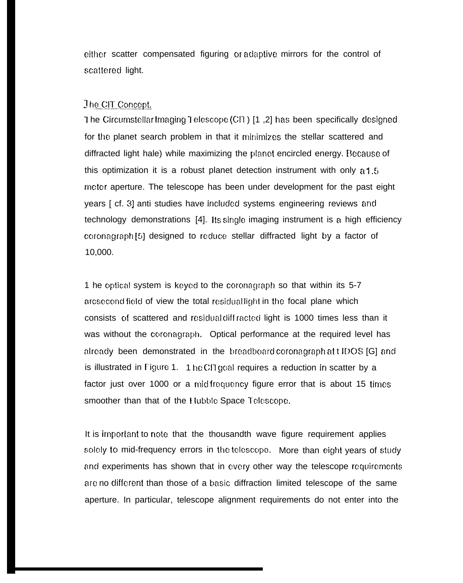either scatter compensated figuring or adaptive mirrors for the control of scattered light.

## The CIT Concept.

1 he Circumstellar Imaging 1 elescope (CI1) [1,2] has been specifically designed for the planet search problem in that it minimizes the stellar scattered and diffracted light hale) while maximizing the planet encircled energy. Because of this optimization it is a robust planet detection instrument with only a 1.5 meter aperture. The telescope has been under development for the past eight years [ cf. 3] anti studies have included systems engineering reviews and technology demonstrations [4]. Its single imaging instrument is a high efficiency coronagraph [5] designed to reduce stellar diffracted light by a factor of 10,000.

1 he optical system is keyed to the coronagraph so that within its 5-7 arcsecond field of view the total residual light in the focal plane which consists of scattered and residual diff racted light is 1000 times less than it was without the coronagraph. Optical performance at the required level has already been demonstrated in the breadboard coronagraph at t IDOS [G] and is illustrated in Figure 1. 1 he CI1 goal requires a reduction in scatter by a factor just over 1000 or a mid frequency figure error that is about 15 times smoother than that of the Hubble Space Telescope.

It is important to note that the thousandth wave figure requirement applies solely to mid-frequency errors in the telescope. More than eight years of study and experiments has shown that in every other way the telescope requirements are no different than those of a basic diffraction limited telescope of the same aperture. In particular, telescope alignment requirements do not enter into the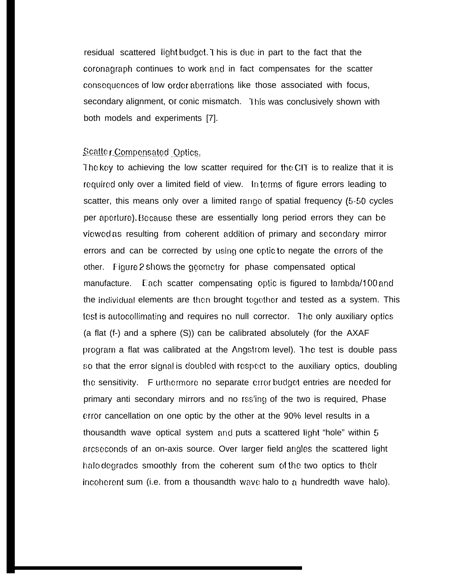residual scattered light budget. I his is due in part to the fact that the coronagraph continues to work and in fact compensates for the scatter Consequcmces of low order aberraticms like those associated with focus, secondary alignment, or conic mismatch. This was conclusively shown with both models and experiments [7].

# Scatter Compensated Optics,

The key to achieving the low scatter required for the CIT is to realize that it is required only over a limited field of view. In terms of figure errors leading to scatter, this means only over a limited rango of spatial frequency (5-50 cycles per aperlure). Because these are essentially long period errors they can be viewed as resulting from coherent addition of primary and secondary mirror errors and can be corrected by using one optic to negate the errors of the other. Figure 2 shows the geometry for phase compensated optical manufacture. Each scatter compensating optic is figured to  $lambda/100$  and the individual elements are then brought together and tested as a system. This test is autocollimating and requires no null corrector. The only auxiliary optics (a flat (f-) and a sphere (S)) can be calibrated absolutely (for the AXAF program a flat was calibrated at the Angstrom level). The test is double pass so that the error signal is doubled with respect to the auxiliary optics, doubling the sensitivity. Furthermore no separate crror budget entries are needed for primary anti secondary mirrors and no rss'ing of the two is required, Phase error cancellation on one optic by the other at the 90% level results in a thousandth wave optical system and puts a scattered light "hole" within 5 arcseconds of an on-axis source. Over larger field angles the scattered light halo degrades smoothly from the coherent sum of the two optics to their incoherent sum (i.e. from a thousandth wave halo to a hundredth wave halo).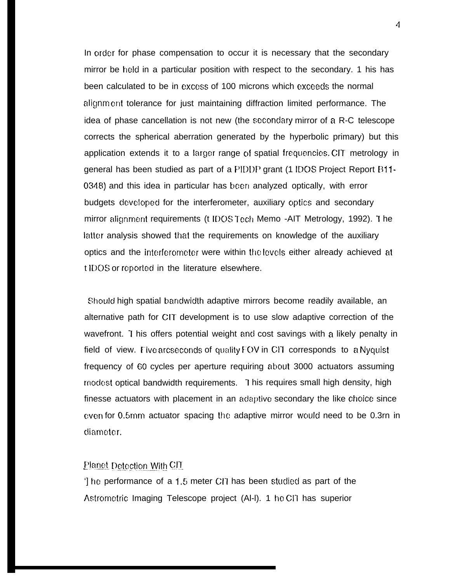In order for phase compensation to occur it is necessary that the secondary mirror be hold in a particular position with respect to the secondary. 1 his has been calculated to be in excess of 100 microns which exceeds the normal alignment tolerance for just maintaining diffraction limited performance. The idea of phase cancellation is not new (the secondary mirror of a R-C telescope corrects the spherical aberration generated by the hyperbolic primary) but this application extends it to a larger range of spatial frequencies. CIT metrology in general has been studied as part of a PIDDP grant (1 IDOS Project Report B11- $0348$ ) and this idea in particular has been analyzed optically, with error budgets developed for the interferometer, auxiliary optics and secondary mirror alignment requirements (t IDOS Tech Memo -AIT Metrology, 1992). The latter analysis showed that the requirements on knowledge of the auxiliary optics and the interferometer were within the levels either already achieved at t IDOS or reported in the literature elsewhere.

Should high spatial bandwidth adaptive mirrors become readily available, an alternative path for CIT development is to use slow adaptive correction of the wavefront. I his offers potential weight and cost savings with a likely penalty in field of view. Five arcseconds of quality FOV in CIT corresponds to a Nyquist frequency of 60 cycles per aperture requiring about 3000 actuators assuming modest optical bandwidth requirements. 1 his requires small high density, high finesse actuators with placement in an adaptive secondary the like choice since cwen for 0.5rnrn actuator spacing the adaptive mirror Wcmld need to be 0.3rn in diameter.

### Planet Detection With CIT.

The performance of a 1.5 meter CIT has been studied as part of the Astrometric Imaging Telescope project (Al-I). 1 he CIT has superior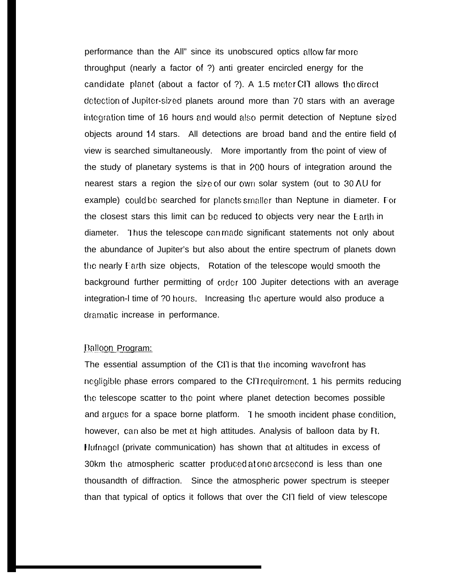performance than the All" since its unobscured optics allow far moro throughput (nearly a factor of ?) anti greater encircled energy for the candidate planet (about a factor of  $\overline{?}$ ). A 1.5 meter CIT allows the direct detection of Jupiter-sized planets around more than 70 stars with an average integration time of 16 hours and would also permit detection of Neptune sized objects around 14 stars. All detections are broad band and the entire field of view is searched simultaneously. More importantly from the point of view of the study of planetary systems is that in 200 hours of integration around the nearest stars a region the size of our owrl solar system (out to 30 AU for example) could be searched for planets smaller than Neptune in diameter. For the closest stars this limit can be reduced to objects very near the Earth in diameter. Thus the telescope can made significant statements not only about the abundance of Jupiter's but also about the entire spectrum of planets down the nearly Earth size objects, Rotation of the telescope would smooth the background further permitting of order 100 Jupiter detections with an average integration-I time of ?0 hours. Increasing the aperture would also produce a dramatic increase in performance.

### Balloon Program:

The essential assumption of the CIT is that the incoming wavefront has negligible phase errors compared to the CIT requirement. 1 his permits reducing the telescope scatter to the point where planet detection becomes possible and argues for a space borne platform. I he smooth incident phase condition, however, can also be met at high attitudes. Analysis of balloon data by R. <sup>t</sup> Iufnagol (private communication) has shown that at altitudes in excess of 30km the atmospheric scatter produced at one arcsecond is less than one thousandth of diffraction. Since the atmospheric power spectrum is steeper than that typical of optics it follows that over the Cll field of view telescope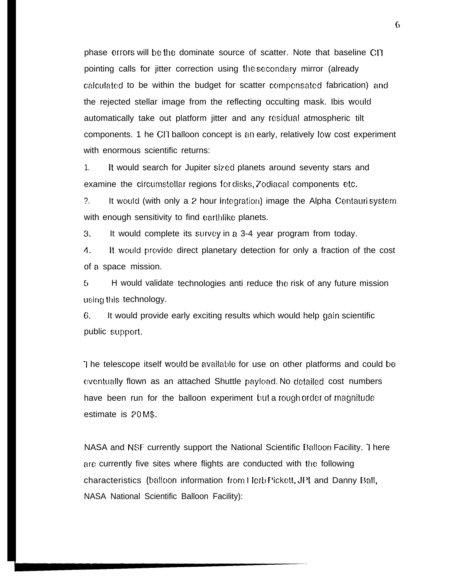phase errors will be the dominate source of scatter. Note that baseline CIT pointing calls for jitter correction using the secondary mirror (already calculated to be within the budget for scatter compensated fabrication) and the rejected stellar image from the reflecting occulting mask. Ibis would automatically take out platform jitter and any resiciual atmospheric tilt components. 1 he Cll balloon concept is an early, relatively low cost experiment with enormous scientific returns:

1. H would search for Jupiter sized planets around seventy stars and examine the circumstellar regions for disks, 7 odiacal components etc.

?. It would (with only a 2 hour integration) image the Alpha Centauri system with enough sensitivity to find earthlike planets.

3. It would complete its survey in a 3-4 year program from today.

4. It would prcwidc direct planetary detection for only a fraction of the cost of a space mission.

5 H would validate technologies anti reduce the risk of any future mission using this technology.

6. It would provide early exciting results which would help gain scientific public support.

I he telescope itself would be available for use on other platforms and could be eventually flown as an attached Shuttle payload. No detailed cost numbers have been run for the balloon experiment but a rough order of magnitude estimate is 20 M\$.

NASA and NSF currently support the National Scientific Balloon Facility. 1 here arc! currently five sites where flights are conducted with the following characteristics (balloon information from Herb Pickett, JPL and Danny Ball, NASA National Scientific Balloon Facility):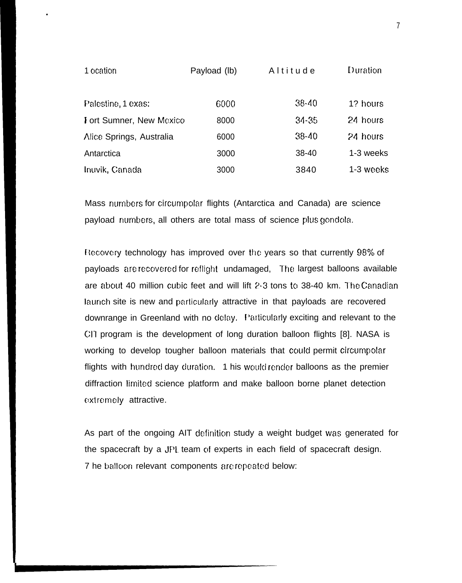| 1 ocation                | Payload (lb) | Altitude  | Duration  |
|--------------------------|--------------|-----------|-----------|
|                          |              |           |           |
| Palestine, 1 exas:       | 6000         | $38 - 40$ | 1? hours  |
| Fort Sumner, New Mexico  | 8000         | $34 - 35$ | 24 hours  |
| Alice Springs, Australia | 6000         | $38 - 40$ | 24 hours  |
| Antarctica               | 3000         | $38 - 40$ | 1-3 weeks |
| Inuvik, Canada           | 3000         | 3840      | 1-3 weeks |

Mass numbers for circumpolar flights (Antarctica and Canada) are science payload numbers, all others are total mass of science plus gondola.

Recovery technology has improved over the years so that currently 98% of payloads are recovered for reflight undamaged, The largest balloons available are about 40 million cubic feet and will lift 2-3 tons to 38-40 km. The Canadian launch site is new and particularly attractive in that payloads are recovered downrange in Greenland with no delay. Particularly exciting and relevant to the CIT program is the development of long duration balloon flights [8]. NASA is working to develop tougher balloon materials that could permit circumpolar flights with hundred day duration. 1 his would render balloons as the premier diffraction limited science platform and make balloon borne planet detection extremely attractive.

As part of the ongoing AIT definition study a weight budget was generated for the spacecraft by a JPL team of experts in each field of spacecraft design. 7 he balloon relevant components are repeated below: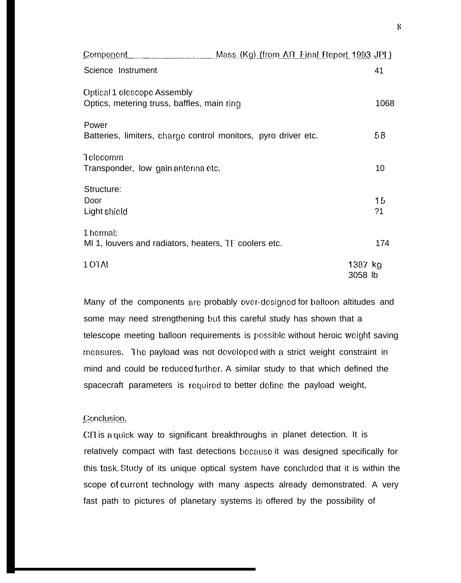| <u>Component</u>                                                          | Mass (Kg) (from AIT Final Report 1993 JPI) |                      |
|---------------------------------------------------------------------------|--------------------------------------------|----------------------|
| Science Instrument                                                        |                                            | 41                   |
| Optical 1 elescope Assembly<br>Optics, metering truss, baffles, main ring |                                            | 1068                 |
| Power<br>Batteries, limiters, charge control monitors, pyro driver etc.   |                                            | 58                   |
| Telecomm<br>Transponder, low gain antenna etc.                            |                                            | 10                   |
| Structure:<br>Door<br>Light shield                                        |                                            | 15<br>?1             |
| 1 hermal:<br>MI 1, louvers and radiators, heaters, TF coolers etc.        |                                            | 174                  |
| 1 OTAI                                                                    |                                            | $1387$ kg<br>3058 lb |

Many of the components are probably over-designed for balloon altitudes and some may need strengthening but this careful study has shown that a telescope meeting balloon requirements is possible without heroic weight saving measures. The payload was not developed with a strict weight constraint in mind and could be reduced further. A similar study to that which defined the spacecraft parameters is required to better define the payload weight,

### Conclusion.

CIT is a quick way to significant breakthroughs in planet detection. It is relatively compact with fast detections because it was designed specifically for this task. Study of its unique optical system have concluded that it is within the scope of current technology with many aspects already demonstrated. A very fast path to pictures of planetary systems is offered by the possibility of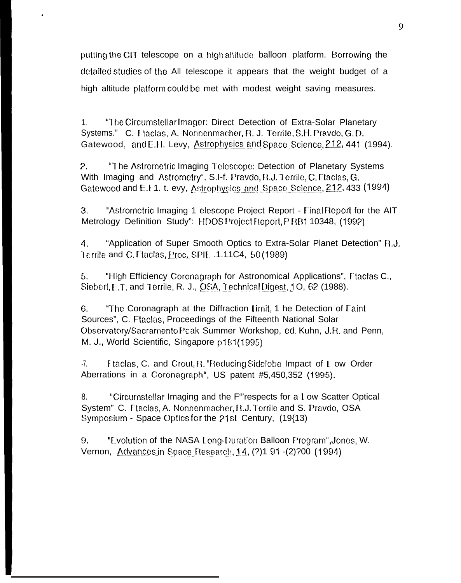putting the CIT telescope on a high altitude balloon platform. Borrowing the detailed studies of the All telescope it appears that the weight budget of a high altitude platform could be met with modest weight saving measures.

"The Circumstellar Imager: Direct Detection of Extra-Solar Planetary  $1<sub>1</sub>$ Systems." C. Ftaclas, A. Nonnenmacher, R. J. Terrile, S.H. Pravdo, G.D. Gatewood, and E.H. Levy, Astrophysics and Space Science, 212, 441 (1994).

 $2.$ "The Astrometric Imaging Telescope: Detection of Planetary Systems With Imaging and Astrometry", S.I-f. Pravdo, R.J. Terrile, C. Ftaclas, G. Gatewood and E.I 1. t. evy, Astrophysics and Space Science, 212, 433 (1994)

 $3.$ "Astrometric Imaging 1 elescope Project Report - Final Report for the AIT Metrology Definition Study": HDOSProject Report, PRB1 10348, (1992)

 $\mathbf{A}$ . "Application of Super Smooth Optics to Extra-Solar Planet Detection" N.J. Terrile and C. Ftaclas, Proc. SPIE .1.11C4, 50 (1989)

5. "High Efficiency Coronagraph for Astronomical Applications", Ftaclas C., Siebert, E.T. and Terrile, R. J., OSA, Technical Digest, 1O, 62 (1988).

"The Coronagraph at the Diffraction Limit, 1 he Detection of Faint 6. Sources", C. Ftaclas, Proceedings of the Fifteenth National Solar Observatory/Sacramento Peak Summer Workshop, ed. Kuhn, J.R. and Penn, M. J., World Scientific, Singapore p181(1995)

 $-7.$ Ftaclas, C. and Crout, R. "Reducing Sidelobe Impact of L ow Order Aberrations in a Coronagraph", US patent #5,450,352 (1995).

8. "Circumstellar Imaging and the F"respects for a Low Scatter Optical System" C. Ftaclas, A. Nonnenmacher, R.J. Terrile and S. Pravdo, OSA Symposium - Space Optics for the 21st Century, (19{13)

9. "Evolution of the NASA Long-Duration Balloon Program", Jones, W. Vernon, Advances in Space Research, 14, (?) 191-(2)?00 (1994)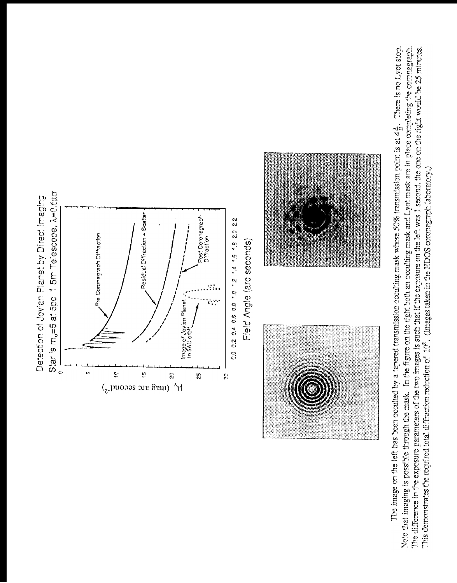Note that imaging is possible through the mask. In the figure on the right both an occulting mask and Lyot mask are in place completing the coronagraph. The image on the left has been occulted by a tapered transmission occulting mask whose 50% transmission point is at  $4\frac{1}{D}$ . There is no Lyot stop. The difference in the exposure parameters of the two images is such that if the exposure on the left was 1 second, the one on the right would be 25 minutes. This demonstrates the required total diffraction reduction of 10<sup>3</sup>. (Images taken in the HDOS coronagraph laboratory.)